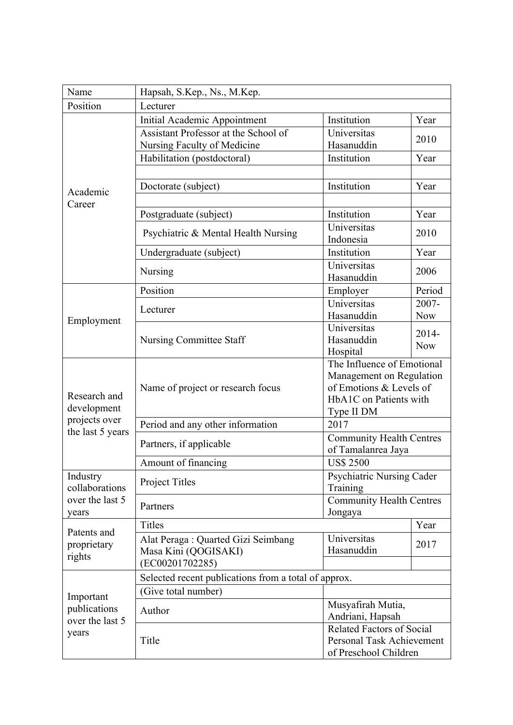| Name                                                   | Hapsah, S.Kep., Ns., M.Kep.                          |                                             |            |  |
|--------------------------------------------------------|------------------------------------------------------|---------------------------------------------|------------|--|
| Position                                               | Lecturer                                             |                                             |            |  |
| Academic<br>Career                                     | Initial Academic Appointment                         | Institution                                 | Year       |  |
|                                                        | Assistant Professor at the School of                 | Universitas                                 |            |  |
|                                                        | Nursing Faculty of Medicine                          | Hasanuddin                                  | 2010       |  |
|                                                        | Habilitation (postdoctoral)                          | Institution                                 | Year       |  |
|                                                        |                                                      |                                             |            |  |
|                                                        | Doctorate (subject)                                  | Institution                                 | Year       |  |
|                                                        |                                                      |                                             |            |  |
|                                                        | Postgraduate (subject)                               | Institution                                 | Year       |  |
|                                                        | Psychiatric & Mental Health Nursing                  | Universitas                                 | 2010       |  |
|                                                        |                                                      | Indonesia                                   |            |  |
|                                                        | Undergraduate (subject)                              | Institution                                 | Year       |  |
|                                                        | Nursing                                              | Universitas                                 | 2006       |  |
|                                                        |                                                      | Hasanuddin                                  |            |  |
|                                                        | Position                                             | Employer                                    | Period     |  |
|                                                        | Lecturer<br><b>Nursing Committee Staff</b>           | Universitas                                 | $2007 -$   |  |
| Employment                                             |                                                      | Hasanuddin                                  | <b>Now</b> |  |
|                                                        |                                                      | Universitas<br>Hasanuddin                   | 2014-      |  |
|                                                        |                                                      | Hospital                                    | <b>Now</b> |  |
|                                                        |                                                      | The Influence of Emotional                  |            |  |
|                                                        | Name of project or research focus                    | Management on Regulation                    |            |  |
|                                                        |                                                      | of Emotions & Levels of                     |            |  |
| Research and                                           |                                                      | HbA1C on Patients with                      |            |  |
| development                                            |                                                      | Type II DM                                  |            |  |
| projects over<br>the last 5 years                      | Period and any other information                     | 2017                                        |            |  |
|                                                        | Partners, if applicable                              | <b>Community Health Centres</b>             |            |  |
|                                                        |                                                      | of Tamalanrea Jaya                          |            |  |
|                                                        | Amount of financing                                  | <b>US\$ 2500</b>                            |            |  |
| Industry<br>collaborations<br>over the last 5<br>years | Project Titles                                       | <b>Psychiatric Nursing Cader</b>            |            |  |
|                                                        |                                                      | Training<br><b>Community Health Centres</b> |            |  |
|                                                        | Partners                                             | Jongaya                                     |            |  |
|                                                        | <b>Titles</b>                                        |                                             | Year       |  |
| Patents and                                            | Alat Peraga: Quarted Gizi Seimbang                   | Universitas                                 |            |  |
| proprietary                                            | Masa Kini (QOGISAKI)                                 | Hasanuddin                                  | 2017       |  |
| rights                                                 | (EC00201702285)                                      |                                             |            |  |
|                                                        | Selected recent publications from a total of approx. |                                             |            |  |
| Important<br>publications<br>over the last 5<br>years  | (Give total number)                                  |                                             |            |  |
|                                                        | Musyafirah Mutia,                                    |                                             |            |  |
|                                                        | Author                                               | Andriani, Hapsah                            |            |  |
|                                                        | Title                                                | <b>Related Factors of Social</b>            |            |  |
|                                                        |                                                      | Personal Task Achievement                   |            |  |
|                                                        |                                                      | of Preschool Children                       |            |  |